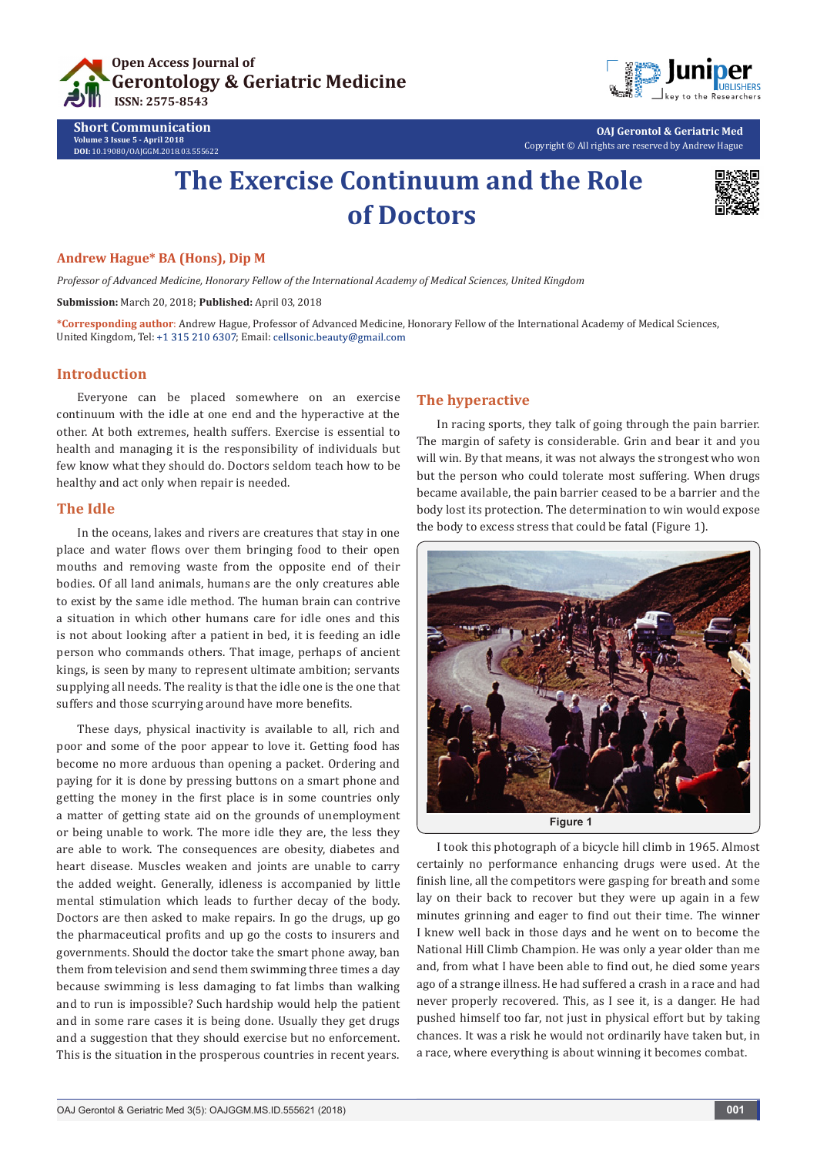



**OAJ Gerontol & Geriatric Med**

Copyright © All rights are reserved by Andrew Hague

# **The Exercise Continuum and the Role of Doctors**



#### **Andrew Hague\* BA (Hons), Dip M**

**Short Communication Volume 3 Issue 5 - April 2018 DOI:** [10.19080/OAJGGM.2018.03.555622](http://dx.doi.org/10.19080/OAJGGM.2018.03.555622)

*Professor of Advanced Medicine, Honorary Fellow of the International Academy of Medical Sciences, United Kingdom* 

**Submission:** March 20, 2018; **Published:** April 03, 2018

**\*Corresponding author**: Andrew Hague, Professor of Advanced Medicine, Honorary Fellow of the International Academy of Medical Sciences, United Kingdom, Tel: +1 315 210 6307; Email: cellsonic.beauty@gmail.com

#### **Introduction**

Everyone can be placed somewhere on an exercise continuum with the idle at one end and the hyperactive at the other. At both extremes, health suffers. Exercise is essential to health and managing it is the responsibility of individuals but few know what they should do. Doctors seldom teach how to be healthy and act only when repair is needed.

#### **The Idle**

In the oceans, lakes and rivers are creatures that stay in one place and water flows over them bringing food to their open mouths and removing waste from the opposite end of their bodies. Of all land animals, humans are the only creatures able to exist by the same idle method. The human brain can contrive a situation in which other humans care for idle ones and this is not about looking after a patient in bed, it is feeding an idle person who commands others. That image, perhaps of ancient kings, is seen by many to represent ultimate ambition; servants supplying all needs. The reality is that the idle one is the one that suffers and those scurrying around have more benefits.

These days, physical inactivity is available to all, rich and poor and some of the poor appear to love it. Getting food has become no more arduous than opening a packet. Ordering and paying for it is done by pressing buttons on a smart phone and getting the money in the first place is in some countries only a matter of getting state aid on the grounds of unemployment or being unable to work. The more idle they are, the less they are able to work. The consequences are obesity, diabetes and heart disease. Muscles weaken and joints are unable to carry the added weight. Generally, idleness is accompanied by little mental stimulation which leads to further decay of the body. Doctors are then asked to make repairs. In go the drugs, up go the pharmaceutical profits and up go the costs to insurers and governments. Should the doctor take the smart phone away, ban them from television and send them swimming three times a day because swimming is less damaging to fat limbs than walking and to run is impossible? Such hardship would help the patient and in some rare cases it is being done. Usually they get drugs and a suggestion that they should exercise but no enforcement. This is the situation in the prosperous countries in recent years.

#### **The hyperactive**

In racing sports, they talk of going through the pain barrier. The margin of safety is considerable. Grin and bear it and you will win. By that means, it was not always the strongest who won but the person who could tolerate most suffering. When drugs became available, the pain barrier ceased to be a barrier and the body lost its protection. The determination to win would expose the body to excess stress that could be fatal (Figure 1).



I took this photograph of a bicycle hill climb in 1965. Almost certainly no performance enhancing drugs were used. At the finish line, all the competitors were gasping for breath and some lay on their back to recover but they were up again in a few minutes grinning and eager to find out their time. The winner I knew well back in those days and he went on to become the National Hill Climb Champion. He was only a year older than me and, from what I have been able to find out, he died some years ago of a strange illness. He had suffered a crash in a race and had never properly recovered. This, as I see it, is a danger. He had pushed himself too far, not just in physical effort but by taking chances. It was a risk he would not ordinarily have taken but, in a race, where everything is about winning it becomes combat.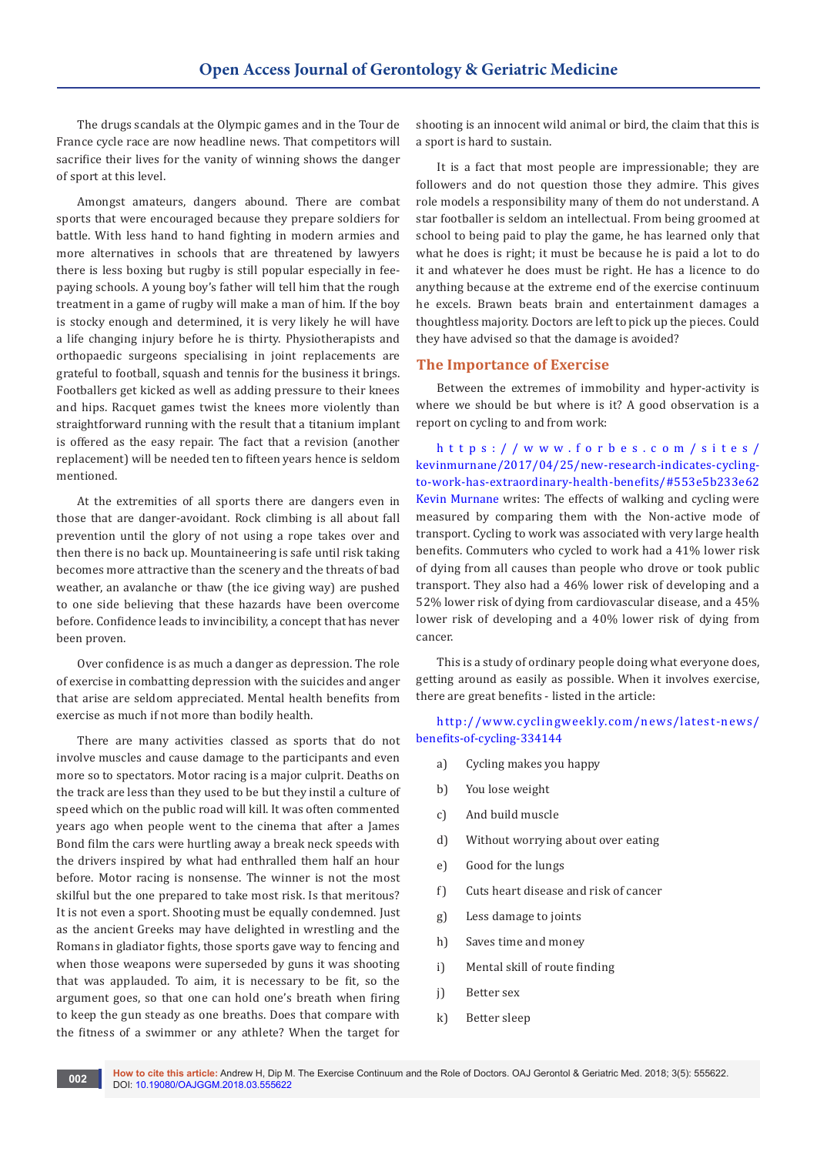The drugs scandals at the Olympic games and in the Tour de France cycle race are now headline news. That competitors will sacrifice their lives for the vanity of winning shows the danger of sport at this level.

Amongst amateurs, dangers abound. There are combat sports that were encouraged because they prepare soldiers for battle. With less hand to hand fighting in modern armies and more alternatives in schools that are threatened by lawyers there is less boxing but rugby is still popular especially in feepaying schools. A young boy's father will tell him that the rough treatment in a game of rugby will make a man of him. If the boy is stocky enough and determined, it is very likely he will have a life changing injury before he is thirty. Physiotherapists and orthopaedic surgeons specialising in joint replacements are grateful to football, squash and tennis for the business it brings. Footballers get kicked as well as adding pressure to their knees and hips. Racquet games twist the knees more violently than straightforward running with the result that a titanium implant is offered as the easy repair. The fact that a revision (another replacement) will be needed ten to fifteen years hence is seldom mentioned.

At the extremities of all sports there are dangers even in those that are danger-avoidant. Rock climbing is all about fall prevention until the glory of not using a rope takes over and then there is no back up. Mountaineering is safe until risk taking becomes more attractive than the scenery and the threats of bad weather, an avalanche or thaw (the ice giving way) are pushed to one side believing that these hazards have been overcome before. Confidence leads to invincibility, a concept that has never been proven.

Over confidence is as much a danger as depression. The role of exercise in combatting depression with the suicides and anger that arise are seldom appreciated. Mental health benefits from exercise as much if not more than bodily health.

There are many activities classed as sports that do not involve muscles and cause damage to the participants and even more so to spectators. Motor racing is a major culprit. Deaths on the track are less than they used to be but they instil a culture of speed which on the public road will kill. It was often commented years ago when people went to the cinema that after a James Bond film the cars were hurtling away a break neck speeds with the drivers inspired by what had enthralled them half an hour before. Motor racing is nonsense. The winner is not the most skilful but the one prepared to take most risk. Is that meritous? It is not even a sport. Shooting must be equally condemned. Just as the ancient Greeks may have delighted in wrestling and the Romans in gladiator fights, those sports gave way to fencing and when those weapons were superseded by guns it was shooting that was applauded. To aim, it is necessary to be fit, so the argument goes, so that one can hold one's breath when firing to keep the gun steady as one breaths. Does that compare with the fitness of a swimmer or any athlete? When the target for shooting is an innocent wild animal or bird, the claim that this is a sport is hard to sustain.

It is a fact that most people are impressionable; they are followers and do not question those they admire. This gives role models a responsibility many of them do not understand. A star footballer is seldom an intellectual. From being groomed at school to being paid to play the game, he has learned only that what he does is right; it must be because he is paid a lot to do it and whatever he does must be right. He has a licence to do anything because at the extreme end of the exercise continuum he excels. Brawn beats brain and entertainment damages a thoughtless majority. Doctors are left to pick up the pieces. Could they have advised so that the damage is avoided?

#### **The Importance of Exercise**

Between the extremes of immobility and hyper-activity is where we should be but where is it? A good observation is a report on cycling to and from work:

[https://www.forbes.com/sites/](https://www.forbes.com/sites/kevinmurnane/2017/04/25/new-research-indicates-cycling-to-work-has-extraordinary-health-benefits/#553e5b233e62 
Kevin Murnane) [kevinmurnane/2017/04/25/new-research-indicates-cycling](https://www.forbes.com/sites/kevinmurnane/2017/04/25/new-research-indicates-cycling-to-work-has-extraordinary-health-benefits/#553e5b233e62 
Kevin Murnane)[to-work-has-extraordinary-health-benefits/#553e5b233e62](https://www.forbes.com/sites/kevinmurnane/2017/04/25/new-research-indicates-cycling-to-work-has-extraordinary-health-benefits/#553e5b233e62 
Kevin Murnane)  [Kevin Murnane](https://www.forbes.com/sites/kevinmurnane/2017/04/25/new-research-indicates-cycling-to-work-has-extraordinary-health-benefits/#553e5b233e62 
Kevin Murnane) writes: The effects of walking and cycling were measured by comparing them with the Non-active mode of transport. Cycling to work was associated with very large health benefits. Commuters who cycled to work had a 41% lower risk of dying from all causes than people who drove or took public transport. They also had a 46% lower risk of developing and a 52% lower risk of dying from cardiovascular disease, and a 45% lower risk of developing and a 40% lower risk of dying from cancer.

This is a study of ordinary people doing what everyone does, getting around as easily as possible. When it involves exercise, there are great benefits - listed in the article:

[http://www.cyclingweekly.com/news/latest-news/](http://www.cyclingweekly.com/news/latest-news/benefits-of-cycling-334144 ) [benefits-of-cycling-334144](http://www.cyclingweekly.com/news/latest-news/benefits-of-cycling-334144 ) 

- a) Cycling makes you happy
- b) You lose weight
- c) And build muscle
- d) Without worrying about over eating
- e) Good for the lungs
- f) Cuts heart disease and risk of cancer
- g) Less damage to joints
- h) Saves time and money
- i) Mental skill of route finding
- j) Better sex
- k) Better sleep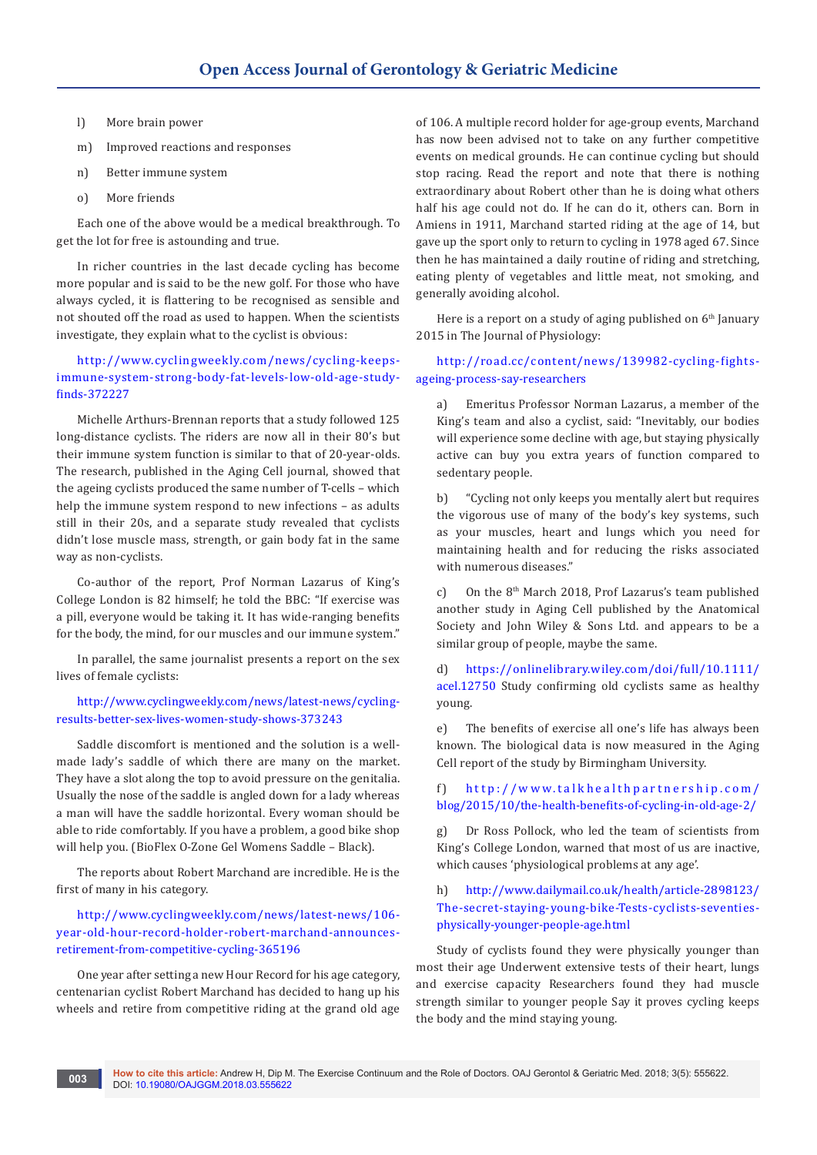- l) More brain power
- m) Improved reactions and responses
- n) Better immune system
- o) More friends

Each one of the above would be a medical breakthrough. To get the lot for free is astounding and true.

In richer countries in the last decade cycling has become more popular and is said to be the new golf. For those who have always cycled, it is flattering to be recognised as sensible and not shouted off the road as used to happen. When the scientists investigate, they explain what to the cyclist is obvious:

[http://www.cyclingweekly.com/news/cycling-keeps](http://www.cyclingweekly.com/news/cycling-keeps-immune-system-strong-body-fat-levels-low-old-age-study-finds-372227 )[immune-system-strong-body-fat-levels-low-old-age-study](http://www.cyclingweekly.com/news/cycling-keeps-immune-system-strong-body-fat-levels-low-old-age-study-finds-372227 )[finds-372227](http://www.cyclingweekly.com/news/cycling-keeps-immune-system-strong-body-fat-levels-low-old-age-study-finds-372227 ) 

Michelle Arthurs-Brennan reports that a study followed 125 long-distance cyclists. The riders are now all in their 80's but their immune system function is similar to that of 20-year-olds. The research, published in the Aging Cell journal, showed that the ageing cyclists produced the same number of T-cells – which help the immune system respond to new infections – as adults still in their 20s, and a separate study revealed that cyclists didn't lose muscle mass, strength, or gain body fat in the same way as non-cyclists.

Co-author of the report, Prof Norman Lazarus of King's College London is 82 himself; he told the BBC: "If exercise was a pill, everyone would be taking it. It has wide-ranging benefits for the body, the mind, for our muscles and our immune system."

In parallel, the same journalist presents a report on the sex lives of female cyclists:

[http://www.cyclingweekly.com/news/latest-news/cycling](http://www.cyclingweekly.com/news/latest-news/cycling-results-better-sex-lives-women-study-shows-373243 )[results-better-sex-lives-women-study-shows-373243](http://www.cyclingweekly.com/news/latest-news/cycling-results-better-sex-lives-women-study-shows-373243 ) 

Saddle discomfort is mentioned and the solution is a wellmade lady's saddle of which there are many on the market. They have a slot along the top to avoid pressure on the genitalia. Usually the nose of the saddle is angled down for a lady whereas a man will have the saddle horizontal. Every woman should be able to ride comfortably. If you have a problem, a good bike shop will help you. (BioFlex O-Zone Gel Womens Saddle – Black).

The reports about Robert Marchand are incredible. He is the first of many in his category.

[http://www.cyclingweekly.com/news/latest-news/106](http://www.cyclingweekly.com/news/latest-news/106-year-old-hour-record-holder-robert-marchand-announces-retirement-from-competitive-cycling-365196 ) [year-old-hour-record-holder-robert-marchand-announces](http://www.cyclingweekly.com/news/latest-news/106-year-old-hour-record-holder-robert-marchand-announces-retirement-from-competitive-cycling-365196 )[retirement-from-competitive-cycling-365196](http://www.cyclingweekly.com/news/latest-news/106-year-old-hour-record-holder-robert-marchand-announces-retirement-from-competitive-cycling-365196 ) 

One year after setting a new Hour Record for his age category, centenarian cyclist Robert Marchand has decided to hang up his wheels and retire from competitive riding at the grand old age

of 106. A multiple record holder for age-group events, Marchand has now been advised not to take on any further competitive events on medical grounds. He can continue cycling but should stop racing. Read the report and note that there is nothing extraordinary about Robert other than he is doing what others half his age could not do. If he can do it, others can. Born in Amiens in 1911, Marchand started riding at the age of 14, but gave up the sport only to return to cycling in 1978 aged 67. Since then he has maintained a daily routine of riding and stretching, eating plenty of vegetables and little meat, not smoking, and generally avoiding alcohol.

Here is a report on a study of aging published on  $6<sup>th</sup>$  January 2015 in The Journal of Physiology:

[http://road.cc/content/news/139982-cycling-fights](http://road.cc/content/news/139982-cycling-fights-ageing-process-say-researchers )[ageing-process-say-researchers](http://road.cc/content/news/139982-cycling-fights-ageing-process-say-researchers ) 

a) Emeritus Professor Norman Lazarus, a member of the King's team and also a cyclist, said: "Inevitably, our bodies will experience some decline with age, but staying physically active can buy you extra years of function compared to sedentary people.

b) "Cycling not only keeps you mentally alert but requires the vigorous use of many of the body's key systems, such as your muscles, heart and lungs which you need for maintaining health and for reducing the risks associated with numerous diseases."

c) On the 8<sup>th</sup> March 2018, Prof Lazarus's team published another study in Aging Cell published by the Anatomical Society and John Wiley & Sons Ltd. and appears to be a similar group of people, maybe the same.

d) [https://onlinelibrary.wiley.com/doi/full/10.1111/](d)	https://onlinelibrary.wiley.com/doi/full/10.1111/acel.12750) [acel.12750](d)	https://onlinelibrary.wiley.com/doi/full/10.1111/acel.12750) Study confirming old cyclists same as healthy young.

e) The benefits of exercise all one's life has always been known. The biological data is now measured in the Aging Cell report of the study by Birmingham University.

f) [http://www.talkhealthpartnership.com/](f)	http://www.talkhealthpartnership.com/blog/2015/10/the-health-benefits-of-cycling-in-old-age-2/ ) [blog/2015/10/the-health-benefits-of-cycling-in-old-age-2/](f)	http://www.talkhealthpartnership.com/blog/2015/10/the-health-benefits-of-cycling-in-old-age-2/ ) 

g) Dr Ross Pollock, who led the team of scientists from King's College London, warned that most of us are inactive, which causes 'physiological problems at any age'.

## h) [http://www.dailymail.co.uk/health/article-2898123/](h)	http://www.dailymail.co.uk/health/article-2898123/The-secret-staying-young-bike-Tests-cyclists-seventies-physically-younger-people-age.html ) [The-secret-staying-young-bike-Tests-cyclists-seventies](h)	http://www.dailymail.co.uk/health/article-2898123/The-secret-staying-young-bike-Tests-cyclists-seventies-physically-younger-people-age.html )[physically-younger-people-age.html](h)	http://www.dailymail.co.uk/health/article-2898123/The-secret-staying-young-bike-Tests-cyclists-seventies-physically-younger-people-age.html )

Study of cyclists found they were physically younger than most their age Underwent extensive tests of their heart, lungs and exercise capacity Researchers found they had muscle strength similar to younger people Say it proves cycling keeps the body and the mind staying young.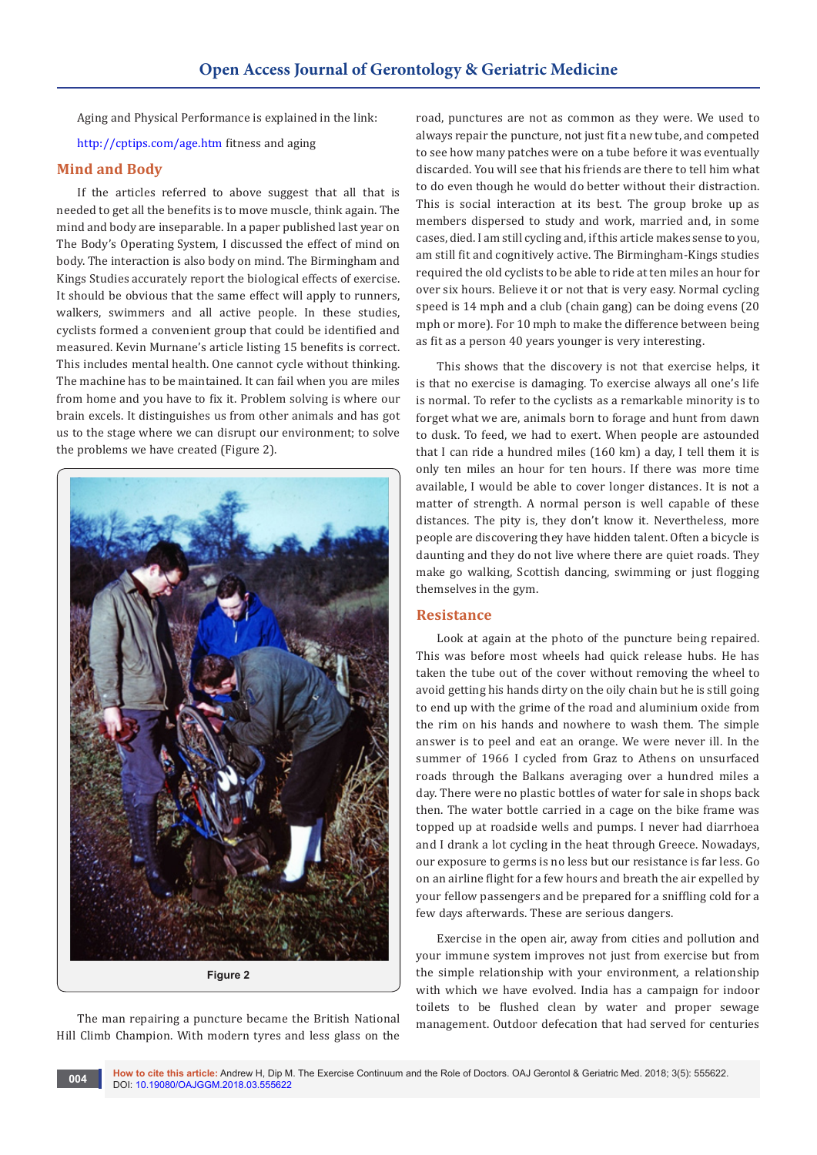Aging and Physical Performance is explained in the link:

<http://cptips.com/age.htm> fitness and aging

#### **Mind and Body**

If the articles referred to above suggest that all that is needed to get all the benefits is to move muscle, think again. The mind and body are inseparable. In a paper published last year on The Body's Operating System, I discussed the effect of mind on body. The interaction is also body on mind. The Birmingham and Kings Studies accurately report the biological effects of exercise. It should be obvious that the same effect will apply to runners, walkers, swimmers and all active people. In these studies, cyclists formed a convenient group that could be identified and measured. Kevin Murnane's article listing 15 benefits is correct. This includes mental health. One cannot cycle without thinking. The machine has to be maintained. It can fail when you are miles from home and you have to fix it. Problem solving is where our brain excels. It distinguishes us from other animals and has got us to the stage where we can disrupt our environment; to solve the problems we have created (Figure 2).



The man repairing a puncture became the British National Hill Climb Champion. With modern tyres and less glass on the

road, punctures are not as common as they were. We used to always repair the puncture, not just fit a new tube, and competed to see how many patches were on a tube before it was eventually discarded. You will see that his friends are there to tell him what to do even though he would do better without their distraction. This is social interaction at its best. The group broke up as members dispersed to study and work, married and, in some cases, died. I am still cycling and, if this article makes sense to you, am still fit and cognitively active. The Birmingham-Kings studies required the old cyclists to be able to ride at ten miles an hour for over six hours. Believe it or not that is very easy. Normal cycling speed is 14 mph and a club (chain gang) can be doing evens (20 mph or more). For 10 mph to make the difference between being as fit as a person 40 years younger is very interesting.

This shows that the discovery is not that exercise helps, it is that no exercise is damaging. To exercise always all one's life is normal. To refer to the cyclists as a remarkable minority is to forget what we are, animals born to forage and hunt from dawn to dusk. To feed, we had to exert. When people are astounded that I can ride a hundred miles (160 km) a day, I tell them it is only ten miles an hour for ten hours. If there was more time available, I would be able to cover longer distances. It is not a matter of strength. A normal person is well capable of these distances. The pity is, they don't know it. Nevertheless, more people are discovering they have hidden talent. Often a bicycle is daunting and they do not live where there are quiet roads. They make go walking, Scottish dancing, swimming or just flogging themselves in the gym.

#### **Resistance**

Look at again at the photo of the puncture being repaired. This was before most wheels had quick release hubs. He has taken the tube out of the cover without removing the wheel to avoid getting his hands dirty on the oily chain but he is still going to end up with the grime of the road and aluminium oxide from the rim on his hands and nowhere to wash them. The simple answer is to peel and eat an orange. We were never ill. In the summer of 1966 I cycled from Graz to Athens on unsurfaced roads through the Balkans averaging over a hundred miles a day. There were no plastic bottles of water for sale in shops back then. The water bottle carried in a cage on the bike frame was topped up at roadside wells and pumps. I never had diarrhoea and I drank a lot cycling in the heat through Greece. Nowadays, our exposure to germs is no less but our resistance is far less. Go on an airline flight for a few hours and breath the air expelled by your fellow passengers and be prepared for a sniffling cold for a few days afterwards. These are serious dangers.

Exercise in the open air, away from cities and pollution and your immune system improves not just from exercise but from the simple relationship with your environment, a relationship with which we have evolved. India has a campaign for indoor toilets to be flushed clean by water and proper sewage management. Outdoor defecation that had served for centuries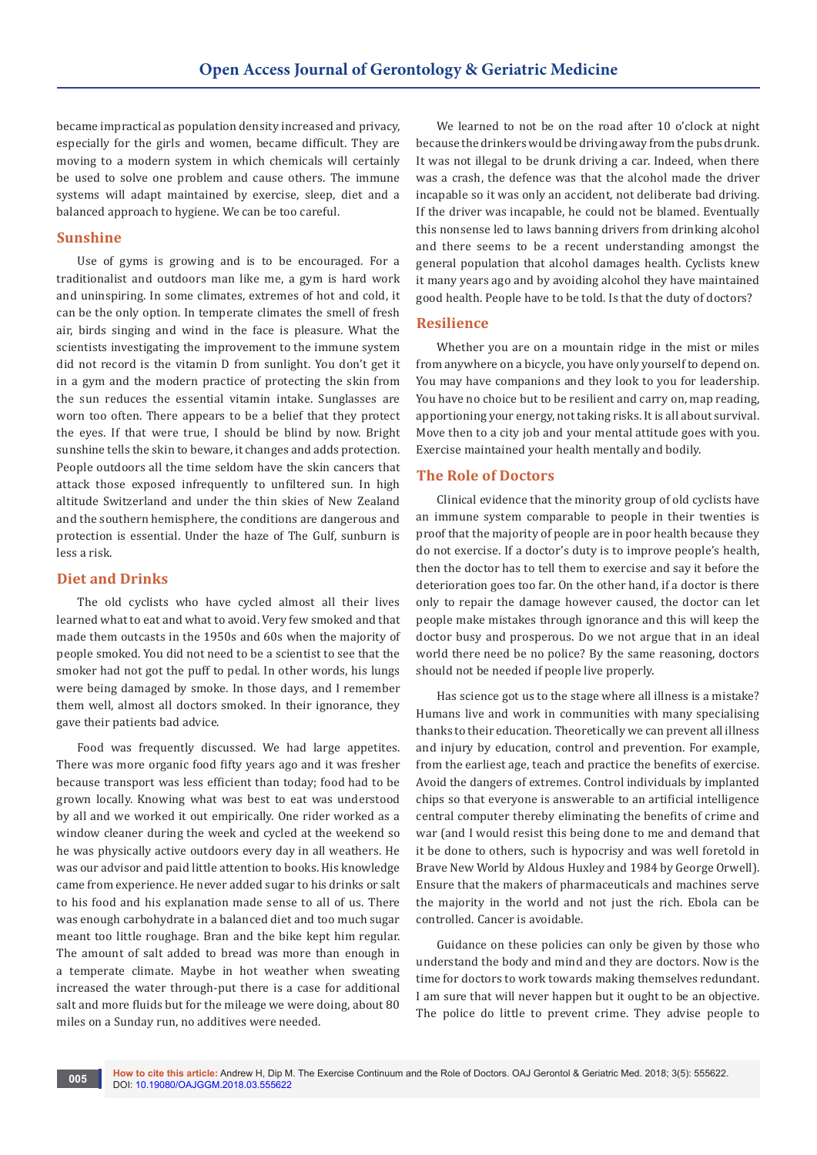became impractical as population density increased and privacy, especially for the girls and women, became difficult. They are moving to a modern system in which chemicals will certainly be used to solve one problem and cause others. The immune systems will adapt maintained by exercise, sleep, diet and a balanced approach to hygiene. We can be too careful.

### **Sunshine**

Use of gyms is growing and is to be encouraged. For a traditionalist and outdoors man like me, a gym is hard work and uninspiring. In some climates, extremes of hot and cold, it can be the only option. In temperate climates the smell of fresh air, birds singing and wind in the face is pleasure. What the scientists investigating the improvement to the immune system did not record is the vitamin D from sunlight. You don't get it in a gym and the modern practice of protecting the skin from the sun reduces the essential vitamin intake. Sunglasses are worn too often. There appears to be a belief that they protect the eyes. If that were true, I should be blind by now. Bright sunshine tells the skin to beware, it changes and adds protection. People outdoors all the time seldom have the skin cancers that attack those exposed infrequently to unfiltered sun. In high altitude Switzerland and under the thin skies of New Zealand and the southern hemisphere, the conditions are dangerous and protection is essential. Under the haze of The Gulf, sunburn is less a risk.

# **Diet and Drinks**

The old cyclists who have cycled almost all their lives learned what to eat and what to avoid. Very few smoked and that made them outcasts in the 1950s and 60s when the majority of people smoked. You did not need to be a scientist to see that the smoker had not got the puff to pedal. In other words, his lungs were being damaged by smoke. In those days, and I remember them well, almost all doctors smoked. In their ignorance, they gave their patients bad advice.

Food was frequently discussed. We had large appetites. There was more organic food fifty years ago and it was fresher because transport was less efficient than today; food had to be grown locally. Knowing what was best to eat was understood by all and we worked it out empirically. One rider worked as a window cleaner during the week and cycled at the weekend so he was physically active outdoors every day in all weathers. He was our advisor and paid little attention to books. His knowledge came from experience. He never added sugar to his drinks or salt to his food and his explanation made sense to all of us. There was enough carbohydrate in a balanced diet and too much sugar meant too little roughage. Bran and the bike kept him regular. The amount of salt added to bread was more than enough in a temperate climate. Maybe in hot weather when sweating increased the water through-put there is a case for additional salt and more fluids but for the mileage we were doing, about 80 miles on a Sunday run, no additives were needed.

We learned to not be on the road after 10 o'clock at night because the drinkers would be driving away from the pubs drunk. It was not illegal to be drunk driving a car. Indeed, when there was a crash, the defence was that the alcohol made the driver incapable so it was only an accident, not deliberate bad driving. If the driver was incapable, he could not be blamed. Eventually this nonsense led to laws banning drivers from drinking alcohol and there seems to be a recent understanding amongst the general population that alcohol damages health. Cyclists knew it many years ago and by avoiding alcohol they have maintained good health. People have to be told. Is that the duty of doctors?

#### **Resilience**

Whether you are on a mountain ridge in the mist or miles from anywhere on a bicycle, you have only yourself to depend on. You may have companions and they look to you for leadership. You have no choice but to be resilient and carry on, map reading, apportioning your energy, not taking risks. It is all about survival. Move then to a city job and your mental attitude goes with you. Exercise maintained your health mentally and bodily.

#### **The Role of Doctors**

Clinical evidence that the minority group of old cyclists have an immune system comparable to people in their twenties is proof that the majority of people are in poor health because they do not exercise. If a doctor's duty is to improve people's health, then the doctor has to tell them to exercise and say it before the deterioration goes too far. On the other hand, if a doctor is there only to repair the damage however caused, the doctor can let people make mistakes through ignorance and this will keep the doctor busy and prosperous. Do we not argue that in an ideal world there need be no police? By the same reasoning, doctors should not be needed if people live properly.

Has science got us to the stage where all illness is a mistake? Humans live and work in communities with many specialising thanks to their education. Theoretically we can prevent all illness and injury by education, control and prevention. For example, from the earliest age, teach and practice the benefits of exercise. Avoid the dangers of extremes. Control individuals by implanted chips so that everyone is answerable to an artificial intelligence central computer thereby eliminating the benefits of crime and war (and I would resist this being done to me and demand that it be done to others, such is hypocrisy and was well foretold in Brave New World by Aldous Huxley and 1984 by George Orwell). Ensure that the makers of pharmaceuticals and machines serve the majority in the world and not just the rich. Ebola can be controlled. Cancer is avoidable.

Guidance on these policies can only be given by those who understand the body and mind and they are doctors. Now is the time for doctors to work towards making themselves redundant. I am sure that will never happen but it ought to be an objective. The police do little to prevent crime. They advise people to